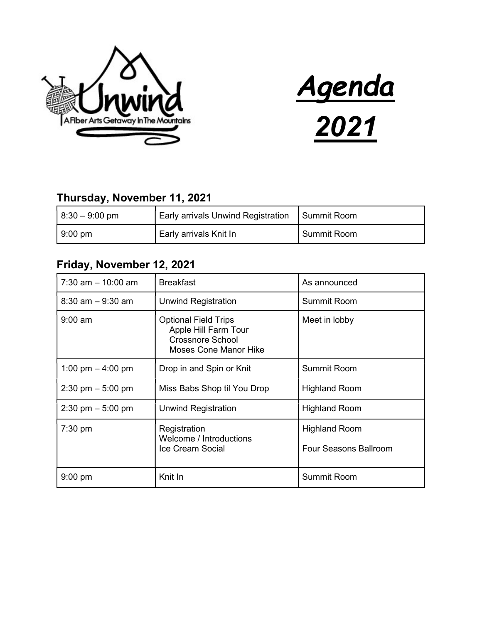



## Thursday, November 11, 2021

| $ 8:30 - 9:00$ pm | Early arrivals Unwind Registration | I Summit Room |
|-------------------|------------------------------------|---------------|
| $9:00 \text{ pm}$ | Early arrivals Knit In             | Summit Room   |

## Friday, November 12, 2021

| $7:30$ am $-10:00$ am               | <b>Breakfast</b>                                                                                               | As announced                                         |
|-------------------------------------|----------------------------------------------------------------------------------------------------------------|------------------------------------------------------|
| $8:30$ am $-9:30$ am                | Unwind Registration                                                                                            | Summit Room                                          |
| $9:00$ am                           | <b>Optional Field Trips</b><br>Apple Hill Farm Tour<br><b>Crossnore School</b><br><b>Moses Cone Manor Hike</b> | Meet in lobby                                        |
| 1:00 pm $-$ 4:00 pm                 | Drop in and Spin or Knit                                                                                       | <b>Summit Room</b>                                   |
| $2:30 \text{ pm} - 5:00 \text{ pm}$ | Miss Babs Shop til You Drop                                                                                    | <b>Highland Room</b>                                 |
| $2:30 \text{ pm} - 5:00 \text{ pm}$ | Unwind Registration                                                                                            | <b>Highland Room</b>                                 |
| $7:30$ pm                           | Registration<br>Welcome / Introductions<br>Ice Cream Social                                                    | <b>Highland Room</b><br><b>Four Seasons Ballroom</b> |
| $9:00$ pm                           | Knit In                                                                                                        | <b>Summit Room</b>                                   |